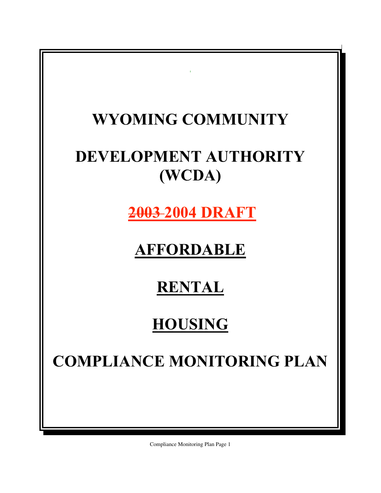# $\hat{\mathbf{r}}$ **WYOMING COMMUNITY DEVELOPMENT AUTHORITY (WCDA) 2003 2004 DRAFT AFFORDABLE RENTAL HOUSING COMPLIANCE MONITORING PLAN**

Compliance Monitoring Plan Page 1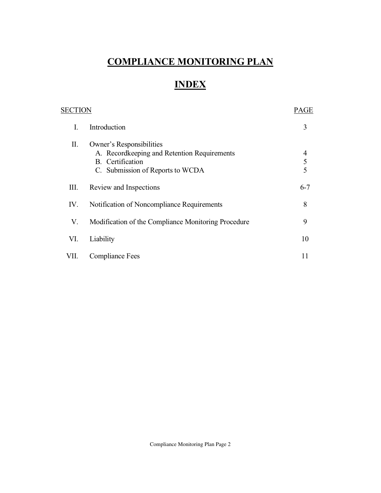# **COMPLIANCE MONITORING PLAN**

# **INDEX**

|      |                                                                                                                                 | PAGE                            |
|------|---------------------------------------------------------------------------------------------------------------------------------|---------------------------------|
| I.   | Introduction                                                                                                                    | 3                               |
| П.   | Owner's Responsibilities<br>A. Recordkeeping and Retention Requirements<br>B. Certification<br>C. Submission of Reports to WCDA | $\overline{4}$<br>$\frac{5}{5}$ |
| Ш.   | Review and Inspections                                                                                                          | $6 - 7$                         |
| IV.  | Notification of Noncompliance Requirements                                                                                      | 8                               |
| V.   | Modification of the Compliance Monitoring Procedure                                                                             | 9                               |
| VI.  | Liability                                                                                                                       | 10                              |
| VII. | <b>Compliance Fees</b>                                                                                                          | 11                              |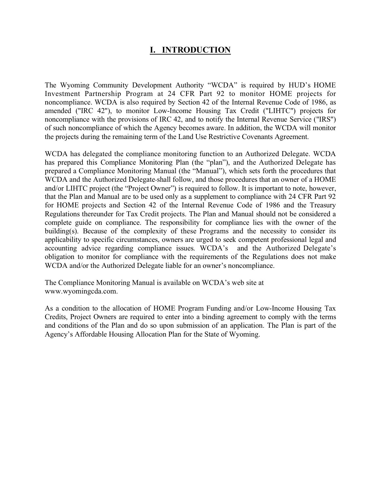## **I. INTRODUCTION**

The Wyoming Community Development Authority "WCDA" is required by HUD's HOME Investment Partnership Program at 24 CFR Part 92 to monitor HOME projects for noncompliance. WCDA is also required by Section 42 of the Internal Revenue Code of 1986, as amended ("IRC 42"), to monitor Low-Income Housing Tax Credit ("LIHTC") projects for noncompliance with the provisions of IRC 42, and to notify the Internal Revenue Service ("IRS") of such noncompliance of which the Agency becomes aware. In addition, the WCDA will monitor the projects during the remaining term of the Land Use Restrictive Covenants Agreement.

WCDA has delegated the compliance monitoring function to an Authorized Delegate. WCDA has prepared this Compliance Monitoring Plan (the "plan"), and the Authorized Delegate has prepared a Compliance Monitoring Manual (the "Manual"), which sets forth the procedures that WCDA and the Authorized Delegate shall follow, and those procedures that an owner of a HOME and/or LIHTC project (the "Project Owner") is required to follow. It is important to note, however, that the Plan and Manual are to be used only as a supplement to compliance with 24 CFR Part 92 for HOME projects and Section 42 of the Internal Revenue Code of 1986 and the Treasury Regulations thereunder for Tax Credit projects. The Plan and Manual should not be considered a complete guide on compliance. The responsibility for compliance lies with the owner of the building(s). Because of the complexity of these Programs and the necessity to consider its applicability to specific circumstances, owners are urged to seek competent professional legal and accounting advice regarding compliance issues. WCDA's and the Authorized Delegate's obligation to monitor for compliance with the requirements of the Regulations does not make WCDA and/or the Authorized Delegate liable for an owner's noncompliance.

The Compliance Monitoring Manual is available on WCDA's web site at www.wyomingcda.com.

As a condition to the allocation of HOME Program Funding and/or Low-Income Housing Tax Credits, Project Owners are required to enter into a binding agreement to comply with the terms and conditions of the Plan and do so upon submission of an application. The Plan is part of the Agency's Affordable Housing Allocation Plan for the State of Wyoming.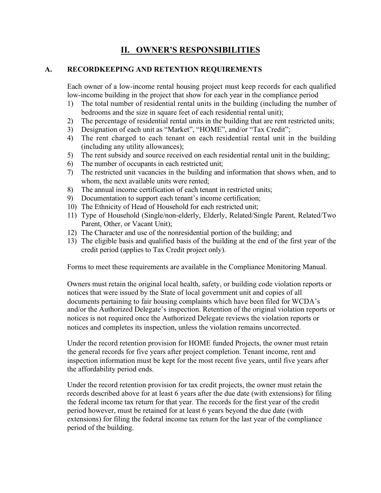## **II. OWNER'S RESPONSIBILITIES**

#### **A. RECORDKEEPING AND RETENTION REQUIREMENTS**

Each owner of a low-income rental housing project must keep records for each qualified low-income building in the project that show for each year in the compliance period

- 1) The total number of residential rental units in the building (including the number of bedrooms and the size in square feet of each residential rental unit);
- 2) The percentage of residential rental units in the building that are rent restricted units;
- 3) Designation of each unit as "Market", "HOME", and/or "Tax Credit";
- 4) The rent charged to each tenant on each residential rental unit in the building (including any utility allowances);
- 5) The rent subsidy and source received on each residential rental unit in the building;
- 6) The number of occupants in each restricted unit;
- 7) The restricted unit vacancies in the building and information that shows when, and to whom, the next available units were rented:
- 8) The annual income certification of each tenant in restricted units;
- 9) Documentation to support each tenant's income certification;
- 10) The Ethnicity of Head of Household for each restricted unit;
- 11) Type of Household (Single/non-elderly, Elderly, Related/Single Parent, Related/Two Parent, Other, or Vacant Unit);
- 12) The Character and use of the nonresidential portion of the building; and
- 13) The eligible basis and qualified basis of the building at the end of the first year of the credit period (applies to Tax Credit project only).

Forms to meet these requirements are available in the Compliance Monitoring Manual.

Owners must retain the original local health, safety, or building code violation reports or notices that were issued by the State of local government unit and copies of all documents pertaining to fair housing complaints which have been filed for WCDA's and/or the Authorized Delegate's inspection. Retention of the original violation reports or notices is not required once the Authorized Delegate reviews the violation reports or notices and completes its inspection, unless the violation remains uncorrected.

Under the record retention provision for HOME funded Projects, the owner must retain the general records for five years after project completion. Tenant income, rent and inspection information must be kept for the most recent five years, until five years after the affordability period ends.

Under the record retention provision for tax credit projects, the owner must retain the records described above for at least 6 years after the due date (with extensions) for filing the federal income tax return for that year. The records for the first year of the credit period however, must be retained for at least 6 years beyond the due date (with extensions) for filing the federal income tax return for the last year of the compliance period of the building.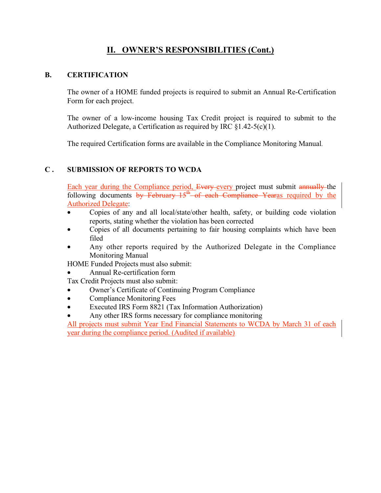## **II. OWNER'S RESPONSIBILITIES (Cont.)**

#### **B. CERTIFICATION**

The owner of a HOME funded projects is required to submit an Annual Re-Certification Form for each project.

The owner of a low-income housing Tax Credit project is required to submit to the Authorized Delegate, a Certification as required by IRC §1.42-5(c)(1).

The required Certification forms are available in the Compliance Monitoring Manual.

#### **C . SUBMISSION OF REPORTS TO WCDA**

Each year during the Compliance period, Every every project must submit annually the following documents by February  $15^{\text{th}}$  of each Compliance Yearas required by the Authorized Delegate:

- Copies of any and all local/state/other health, safety, or building code violation reports, stating whether the violation has been corrected
- Copies of all documents pertaining to fair housing complaints which have been filed
- Any other reports required by the Authorized Delegate in the Compliance Monitoring Manual

HOME Funded Projects must also submit:

• Annual Re-certification form

Tax Credit Projects must also submit:

- Owner's Certificate of Continuing Program Compliance
- Compliance Monitoring Fees
- Executed IRS Form 8821 (Tax Information Authorization)
- Any other IRS forms necessary for compliance monitoring

All projects must submit Year End Financial Statements to WCDA by March 31 of each year during the compliance period. (Audited if available)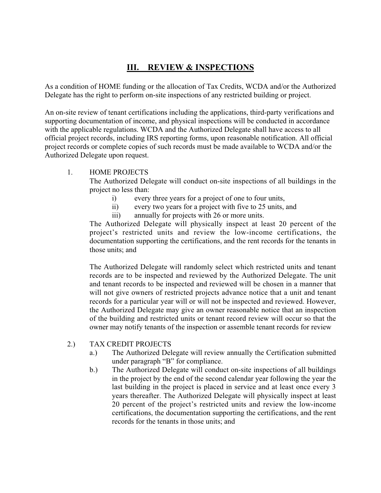## **III. REVIEW & INSPECTIONS**

As a condition of HOME funding or the allocation of Tax Credits, WCDA and/or the Authorized Delegate has the right to perform on-site inspections of any restricted building or project.

An on-site review of tenant certifications including the applications, third-party verifications and supporting documentation of income, and physical inspections will be conducted in accordance with the applicable regulations. WCDA and the Authorized Delegate shall have access to all official project records, including IRS reporting forms, upon reasonable notification. All official project records or complete copies of such records must be made available to WCDA and/or the Authorized Delegate upon request.

#### 1. HOME PROJECTS

The Authorized Delegate will conduct on-site inspections of all buildings in the project no less than:

- i) every three years for a project of one to four units,
- ii) every two years for a project with five to 25 units, and
- iii) annually for projects with 26 or more units.

The Authorized Delegate will physically inspect at least 20 percent of the project's restricted units and review the low-income certifications, the documentation supporting the certifications, and the rent records for the tenants in those units; and

The Authorized Delegate will randomly select which restricted units and tenant records are to be inspected and reviewed by the Authorized Delegate. The unit and tenant records to be inspected and reviewed will be chosen in a manner that will not give owners of restricted projects advance notice that a unit and tenant records for a particular year will or will not be inspected and reviewed. However, the Authorized Delegate may give an owner reasonable notice that an inspection of the building and restricted units or tenant record review will occur so that the owner may notify tenants of the inspection or assemble tenant records for review

#### 2.) TAX CREDIT PROJECTS

- a.) The Authorized Delegate will review annually the Certification submitted under paragraph "B" for compliance.
- b.) The Authorized Delegate will conduct on-site inspections of all buildings in the project by the end of the second calendar year following the year the last building in the project is placed in service and at least once every 3 years thereafter. The Authorized Delegate will physically inspect at least 20 percent of the project's restricted units and review the low-income certifications, the documentation supporting the certifications, and the rent records for the tenants in those units; and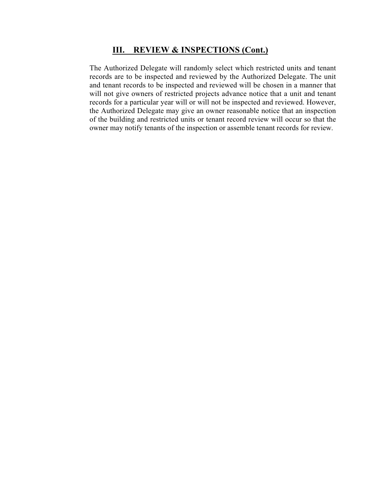#### **III. REVIEW & INSPECTIONS (Cont.)**

The Authorized Delegate will randomly select which restricted units and tenant records are to be inspected and reviewed by the Authorized Delegate. The unit and tenant records to be inspected and reviewed will be chosen in a manner that will not give owners of restricted projects advance notice that a unit and tenant records for a particular year will or will not be inspected and reviewed. However, the Authorized Delegate may give an owner reasonable notice that an inspection of the building and restricted units or tenant record review will occur so that the owner may notify tenants of the inspection or assemble tenant records for review.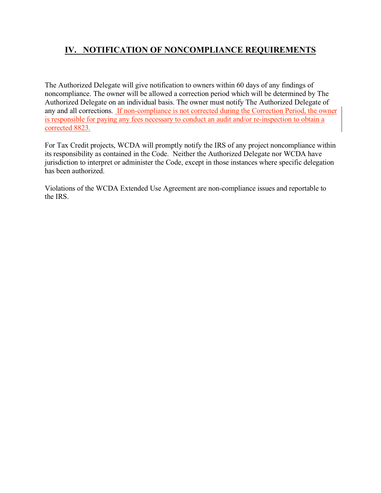## **IV. NOTIFICATION OF NONCOMPLIANCE REQUIREMENTS**

The Authorized Delegate will give notification to owners within 60 days of any findings of noncompliance. The owner will be allowed a correction period which will be determined by The Authorized Delegate on an individual basis. The owner must notify The Authorized Delegate of any and all corrections. If non-compliance is not corrected during the Correction Period, the owner is responsible for paying any fees necessary to conduct an audit and/or re-inspection to obtain a corrected 8823.

For Tax Credit projects, WCDA will promptly notify the IRS of any project noncompliance within its responsibility as contained in the Code. Neither the Authorized Delegate nor WCDA have jurisdiction to interpret or administer the Code, except in those instances where specific delegation has been authorized.

Violations of the WCDA Extended Use Agreement are non-compliance issues and reportable to the IRS.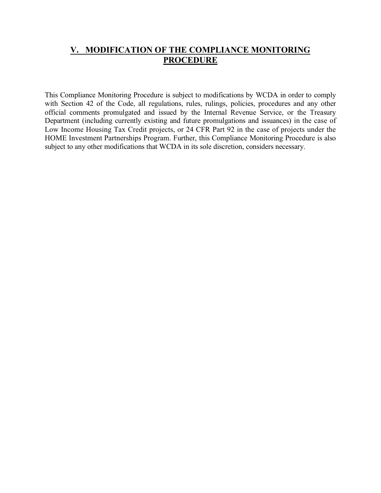## **V. MODIFICATION OF THE COMPLIANCE MONITORING PROCEDURE**

This Compliance Monitoring Procedure is subject to modifications by WCDA in order to comply with Section 42 of the Code, all regulations, rules, rulings, policies, procedures and any other official comments promulgated and issued by the Internal Revenue Service, or the Treasury Department (including currently existing and future promulgations and issuances) in the case of Low Income Housing Tax Credit projects, or 24 CFR Part 92 in the case of projects under the HOME Investment Partnerships Program. Further, this Compliance Monitoring Procedure is also subject to any other modifications that WCDA in its sole discretion, considers necessary.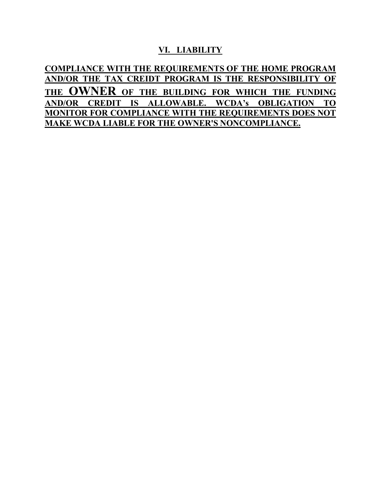#### **VI. LIABILITY**

**COMPLIANCE WITH THE REQUIREMENTS OF THE HOME PROGRAM AND/OR THE TAX CREIDT PROGRAM IS THE RESPONSIBILITY OF THE OWNER OF THE BUILDING FOR WHICH THE FUNDING AND/OR CREDIT IS ALLOWABLE. WCDA's OBLIGATION TO MONITOR FOR COMPLIANCE WITH THE REQUIREMENTS DOES NOT MAKE WCDA LIABLE FOR THE OWNER'S NONCOMPLIANCE.**